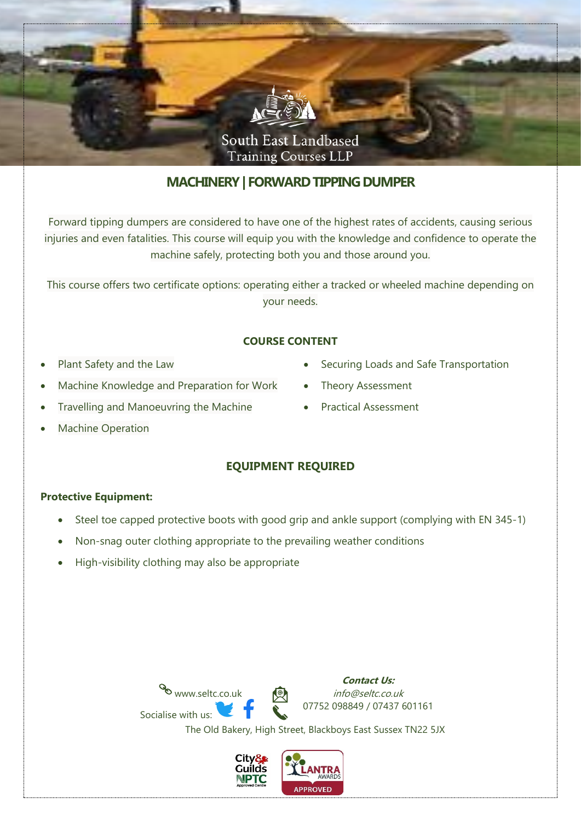

# **MACHINERY| FORWARD TIPPING DUMPER**

Forward tipping dumpers are considered to have one of the highest rates of accidents, causing serious injuries and even fatalities. This course will equip you with the knowledge and confidence to operate the machine safely, protecting both you and those around you.

This course offers two certificate options: operating either a tracked or wheeled machine depending on your needs.

### **COURSE CONTENT**

- Plant Safety and the Law
- Machine Knowledge and Preparation for Work
- Travelling and Manoeuvring the Machine
- Securing Loads and Safe Transportation
- Theory Assessment
- Practical Assessment

**Machine Operation** 

# **EQUIPMENT REQUIRED**

#### **Protective Equipment:**

- Steel toe capped protective boots with good grip and ankle support (complying with EN 345-1)
- Non-snag outer clothing appropriate to the prevailing weather conditions
- High-visibility clothing may also be appropriate